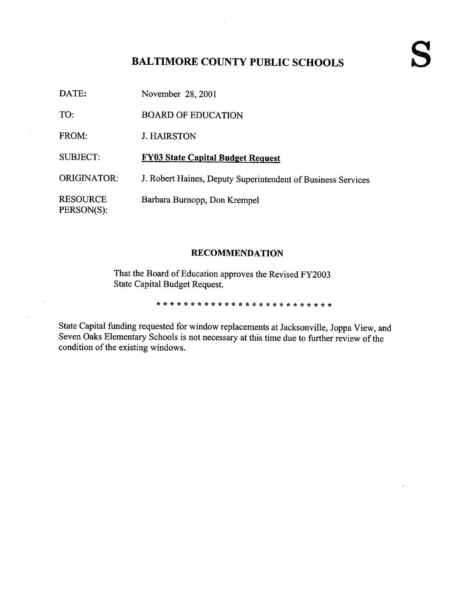# BALTIMORE COUNTY PUBLIC SCHOOLS

| DATE:                         | November 28, 2001                                            |
|-------------------------------|--------------------------------------------------------------|
| TO:                           | <b>BOARD OF EDUCATION</b>                                    |
| FROM:                         | <b>J. HAIRSTON</b>                                           |
| <b>SUBJECT:</b>               | <b>FY03 State Capital Budget Request</b>                     |
| <b>ORIGINATOR:</b>            | J. Robert Haines, Deputy Superintendent of Business Services |
| <b>RESOURCE</b><br>PERSON(S): | Barbara Burnopp, Don Krempel                                 |

#### RECOMMENDATION

That the Board of Education approves the Revised FY2003 State Capital Budget Request.

 $\ddot{\phantom{a}}$ 

State Capital funding requested for window replacements at Jacksonville, Joppa View, and Seven Oaks Elementary Schools is not necessary at this time due to further review of the condition of the existing windows.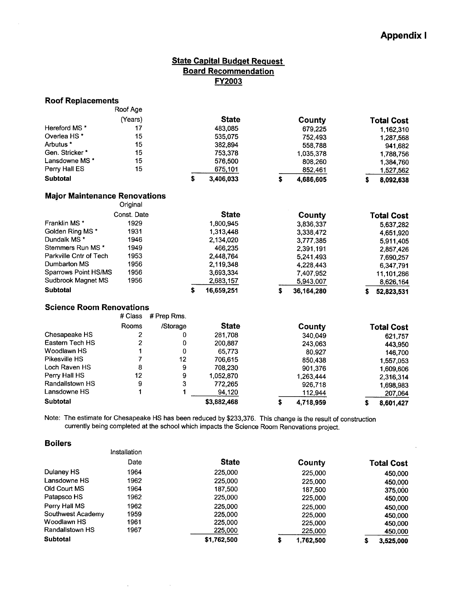$\ddot{\phantom{a}}$ 

## **State Capital Budget Request** Board Recommendation FY2003

| <b>Roof Replacements</b>             |                  |             |                  |                  |    |                   |
|--------------------------------------|------------------|-------------|------------------|------------------|----|-------------------|
|                                      | Roof Age         |             |                  |                  |    |                   |
|                                      | (Years)          |             | <b>State</b>     | County           |    | <b>Total Cost</b> |
| Hereford MS *                        | 17               |             | 483,085          | 679,225          |    | 1,162,310         |
| Overlea HS <sup>*</sup>              | 15               |             | 535,075          | 752,493          |    | 1,287,568         |
| Arbutus *                            | 15               |             | 382,894          | 558,788          |    | 941,682           |
| Gen. Stricker*                       | 15               |             | 753,378          | 1,035,378        |    | 1,788,756         |
| Lansdowne MS *                       | 15               |             | 576,500          | 808,260          |    | 1,384,760         |
| Perry Hall ES                        | 15               |             | 675,101          | 852,461          |    | 1,527,562         |
| <b>Subtotal</b>                      |                  |             | \$<br>3,406,033  | \$<br>4,686,605  | \$ | 8,092,638         |
| <b>Major Maintenance Renovations</b> | Original         |             |                  |                  |    |                   |
|                                      | Const. Date      |             | <b>State</b>     | County           |    | <b>Total Cost</b> |
| Franklin MS <sup>*</sup>             | 1929             |             | 1,800,945        | 3,836,337        |    | 5,637,282         |
| Golden Ring MS *                     | 1931             |             | 1,313,448        | 3,338,472        |    | 4,651,920         |
| Dundalk MS *                         | 1946             |             | 2,134,020        | 3,777,385        |    | 5,911,405         |
| Stemmers Run MS*                     | 1949             |             | 466,235          | 2,391,191        |    | 2,857,426         |
| Parkville Cntr of Tech               | 1953             |             | 2,448,764        | 5,241,493        |    | 7,690,257         |
| Dumbarton MS                         | 1956             |             | 2,119,348        | 4,228,443        |    | 6,347,791         |
| <b>Sparrows Point HS/MS</b>          | 1956             |             | 3,693,334        | 7,407,952        |    | 11,101,286        |
| Sudbrook Magnet MS                   | 1956             |             | 2,683,157        | 5,943,007        |    | 8,626,164         |
| <b>Subtotal</b>                      |                  |             | \$<br>16,659,251 | \$<br>36,164,280 | s  | 52,823,531        |
| <b>Science Room Renovations</b>      |                  |             |                  |                  |    |                   |
|                                      | # Class          | # Prep Rms. |                  |                  |    |                   |
|                                      | Rooms            | /Storage    | <b>State</b>     | County           |    | <b>Total Cost</b> |
| Chesapeake HS                        | 2                | 0           | 281,708          | 340,049          |    | 621,757           |
| Eastern Tech HS                      | 2                | 0           | 200,887          | 243,063          |    | 443,950           |
| Woodlawn HS                          | 1                | 0           | 65,773           | 80,927           |    | 146,700           |
| Pikesville HS                        | 7                | 12          | 706,615          | 850,438          |    | 1,557,053         |
| Loch Raven HS                        | 8                | 9           | 708,230          | 901,376          |    | 1,609,606         |
| Perry Hall HS                        | 12               | 9           | 1,052,870        | 1,263,444        |    | 2,316,314         |
| Randallstown HS                      | $\boldsymbol{9}$ | 3           | 772,265          | 926,718          |    | 1,698,983         |
| Lansdowne HS                         | 1                | 1           | 94,120           | 112,944          |    | 207,064           |
| <b>Subtotal</b>                      |                  |             | \$3,882,468      | \$<br>4,718,959  | \$ | 8,601,427         |

Note: The estimate for Chesapeake HS has been reduced by \$233,376. This change is the result of construction currently being completed at the school which impacts the Science Room Renovations project.

| <b>Boilers</b>    |              |              |                 |                   |
|-------------------|--------------|--------------|-----------------|-------------------|
|                   | Installation |              |                 |                   |
|                   | Date         | <b>State</b> | County          | <b>Total Cost</b> |
| Dulaney HS        | 1964         | 225,000      | 225,000         | 450,000           |
| Lansdowne HS      | 1962         | 225,000      | 225,000         | 450,000           |
| Old Court MS      | 1964         | 187,500      | 187,500         | 375,000           |
| Patapsco HS       | 1962         | 225,000      | 225,000         | 450,000           |
| Perry Hall MS     | 1962         | 225,000      | 225,000         | 450,000           |
| Southwest Academy | 1959         | 225,000      | 225,000         | 450,000           |
| Woodlawn HS       | 1961         | 225,000      | 225,000         | 450,000           |
| Randallstown HS   | 1967         | 225,000      | 225,000         | 450,000           |
| <b>Subtotal</b>   |              | \$1,762,500  | \$<br>1,762,500 | \$<br>3,525,000   |

 $\sim$   $\sim$ 

 $\sim$